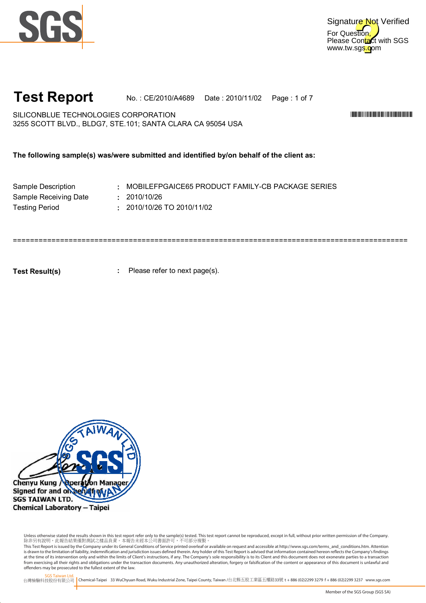



# **Test Report** No. : CE/2010/A4689 Date : 2010/11/02 Page : 1 of 7

SILICONBLUE TECHNOLOGIES CORPORATION \*CE/2010/A4689\* 3255 SCOTT BLVD., BLDG7, STE.101; SANTA CLARA CA 95054 USA

**The following sample(s) was/were submitted and identified by/on behalf of the client as:**

| Sample Description    | : MOBILEFF   |
|-----------------------|--------------|
| Sample Receiving Date | : 2010/10/26 |
| <b>Testing Period</b> | : 2010/10/26 |

Sample Description **1200 COBILETT RETAILLEMENT CONTROLLY-CANILY-CB PACKAGE SERIES** 

**:** 2010/10/26 TO 2010/11/02

============================================================================================

**Test Result(s)**

**:** Please refer to next page(s).



Unless otherwise stated the results shown in this test report refer only to the sample(s) tested. This test report cannot be reproduced, except in full, without prior written permission of the Company.<br>除非另有說明,此報告結果僅對測試之樣品

This Test Report is issued by the Company under its General Conditions of Service printed overleaf or available on request and accessible at http://www.sgs.com/terms\_and\_conditions.htm. Attention is drawn to the limitation of liability, indemnification and jurisdiction issues defined therein. Any holder of this Test Report is advised that information contained hereon reflects the Company's findings<br>at the time of i from exercising all their rights and obligations under the transaction documents. Any unauthorized alteration, forgery or falsification of the content or appearance of this document is unlawful and offenders may be prosecuted to the fullest extent of the law.

SGS Taiwan Ltd.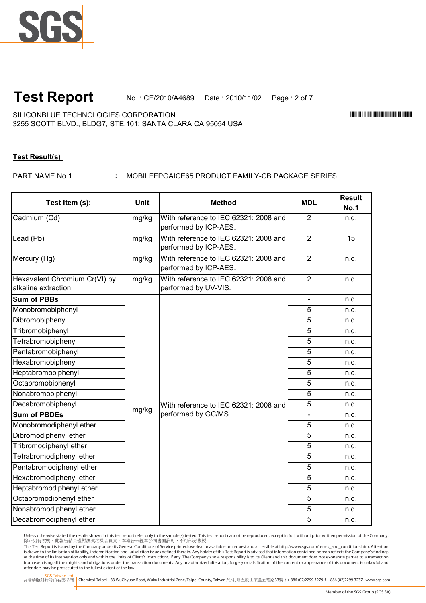

**Test Report** No. : CE/2010/A4689 Date : 2010/11/02 Page : 2 of 7

SILICONBLUE TECHNOLOGIES CORPORATION \*CE/2010/A4689\* 3255 SCOTT BLVD., BLDG7, STE.101; SANTA CLARA CA 95054 USA

## **Test Result(s)**

PART NAME No.1

: MOBILEFPGAICE65 PRODUCT FAMILY-CB PACKAGE SERIES

| Test Item (s):                                       | <b>Unit</b> | <b>Method</b>                                                  | <b>MDL</b>     | <b>Result</b> |
|------------------------------------------------------|-------------|----------------------------------------------------------------|----------------|---------------|
|                                                      |             |                                                                |                | <b>No.1</b>   |
| Cadmium (Cd)                                         | mg/kg       | With reference to IEC 62321: 2008 and<br>performed by ICP-AES. | 2              | n.d.          |
| Lead (Pb)                                            | mg/kg       | With reference to IEC 62321: 2008 and<br>performed by ICP-AES. | $\overline{2}$ | 15            |
| Mercury (Hg)                                         | mg/kg       | With reference to IEC 62321: 2008 and<br>performed by ICP-AES. | $\overline{2}$ | n.d.          |
| Hexavalent Chromium Cr(VI) by<br>alkaline extraction | mg/kg       | With reference to IEC 62321: 2008 and<br>performed by UV-VIS.  | $\overline{2}$ | n.d.          |
| <b>Sum of PBBs</b>                                   |             |                                                                |                | n.d.          |
| Monobromobiphenyl                                    |             |                                                                | 5              | n.d.          |
| Dibromobiphenyl                                      |             |                                                                | $\overline{5}$ | n.d.          |
| Tribromobiphenyl                                     |             |                                                                | 5              | n.d.          |
| Tetrabromobiphenyl                                   |             |                                                                | 5              | n.d.          |
| Pentabromobiphenyl                                   |             |                                                                | 5              | n.d.          |
| Hexabromobiphenyl                                    |             |                                                                | $\overline{5}$ | n.d.          |
| Heptabromobiphenyl                                   |             |                                                                | 5              | n.d.          |
| Octabromobiphenyl                                    |             |                                                                | 5              | n.d.          |
| Nonabromobiphenyl                                    |             |                                                                | 5              | n.d.          |
| Decabromobiphenyl                                    |             | With reference to IEC 62321: 2008 and                          | 5              | n.d.          |
| <b>Sum of PBDEs</b>                                  | mg/kg       | performed by GC/MS.                                            |                | n.d.          |
| Monobromodiphenyl ether                              |             |                                                                | 5              | n.d.          |
| Dibromodiphenyl ether                                |             |                                                                | 5              | n.d.          |
| Tribromodiphenyl ether                               |             |                                                                | 5              | n.d.          |
| Tetrabromodiphenyl ether                             |             |                                                                | 5              | n.d.          |
| Pentabromodiphenyl ether                             |             |                                                                | 5              | n.d.          |
| Hexabromodiphenyl ether                              |             |                                                                | $\overline{5}$ | n.d.          |
| Heptabromodiphenyl ether                             |             |                                                                | 5              | n.d.          |
| Octabromodiphenyl ether                              |             |                                                                | 5              | n.d.          |
| Nonabromodiphenyl ether                              |             |                                                                | 5              | n.d.          |
| Decabromodiphenyl ether                              |             |                                                                | $\overline{5}$ | n.d.          |

Unless otherwise stated the results shown in this test report refer only to the sample(s) tested. This test report cannot be reproduced, except in full, without prior written permission of the Company.<br>除非另有說明,此報告結果僅對測試之樣品

This Test Report is issued by the Company under its General Conditions of Service printed overleaf or available on request and accessible at http://www.sgs.com/terms\_and\_conditions.htm. Attention is drawn to the limitation of liability, indemnification and jurisdiction issues defined therein. Any holder of this Test Report is advised that information contained hereon reflects the Company's findings<br>at the time of i from exercising all their rights and obligations under the transaction documents. Any unauthorized alteration, forgery or falsification of the content or appearance of this document is unlawful and offenders may be prosecuted to the fullest extent of the law.

SGS Taiwan Ltd.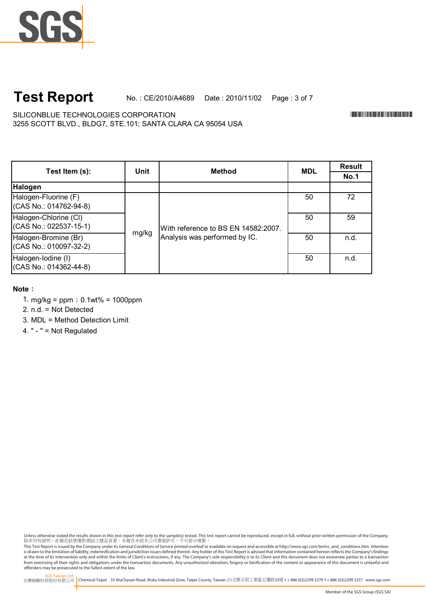## No. : CE/2010/A4689 Date : 2010/11/02 Page : 3 of 7 **Test Report**

3255 SCOTT BLVD., BLDG7, STE.101; SANTA CLARA CA 95054 USA SILICONBLUE TECHNOLOGIES CORPORATION \*CE/2010/A4689\*

**Result No.1** 50 72 50 59 50 n.d. 50 n.d. Halogen-Iodine (I) (CAS No.: 014362-44-8) **Halogen** Halogen-Fluorine (F) (CAS No.: 014762-94-8) **Method MDL** With reference to BS EN 14582:2007. Analysis was performed by IC. **Unit Test Item (s):** Halogen-Chlorine (Cl) (CAS No.: 022537-15-1) mg/kg Halogen-Bromine (Br) (CAS No.: 010097-32-2)

### **Note**:

- 1. mg/kg =  $ppm$ ; 0.1wt% = 1000ppm
- 2. n.d. = Not Detected
- 3. MDL = Method Detection Limit

4. " - " = Not Regulated

Unless otherwise stated the results shown in this test report refer only to the sample(s) tested. This test report cannot be reproduced, except in full, without prior written permission of the Company.<br>除非另有說明,此報告結果僅對測試之樣品

This Test Report is issued by the Company under its General Conditions of Service printed overleaf or available on request and accessible at http://www.sgs.com/terms\_and\_conditions.htm. Attention is drawn to the limitation of liability, indemnification and jurisdiction issues defined therein. Any holder of this Test Report is advised that information contained hereon reflects the Company's findings<br>at the time of i from exercising all their rights and obligations under the transaction documents. Any unauthorized alteration, forgery or falsification of the content or appearance of this document is unlawful and offenders may be prosecuted to the fullest extent of the law.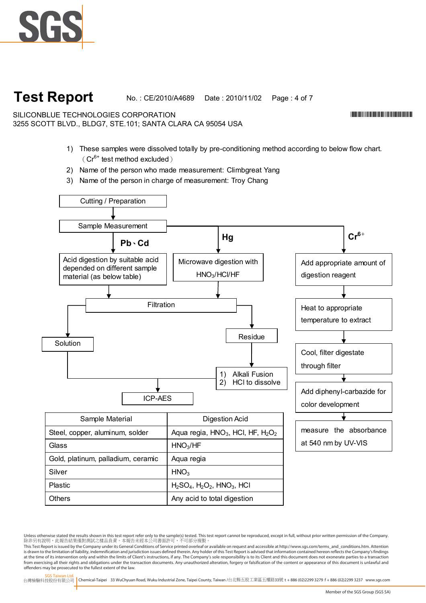

# **Test Report**

No. : CE/2010/A4689 Date : 2010/11/02 Page : 4 of 7

3255 SCOTT BLVD., BLDG7, STE.101; SANTA CLARA CA 95054 USA SILICONBLUE TECHNOLOGIES CORPORATION

- 1) These samples were dissolved totally by pre-conditioning method according to below flow chart.  $(Cr^{6+}$  test method excluded)
- 2) Name of the person who made measurement: Climbgreat Yang
- 3) Name of the person in charge of measurement: Troy Chang



Others **Any acid to total digestion** 

\*CE/2010/A4689\*CE/2010/A4689\*CE/2010

Unless otherwise stated the results shown in this test report refer only to the sample(s) tested. This test report cannot be reproduced, except in full, without prior written permission of the Company.<br>除非另有說明,此報告結果僅對測試之樣品

This Test Report is issued by the Company under its General Conditions of Service printed overleaf or available on request and accessible at http://www.sgs.com/terms\_and\_conditions.htm. Attention is drawn to the limitation of liability, indemnification and jurisdiction issues defined therein. Any holder of this Test Report is advised that information contained hereon reflects the Company's findings at the time of its intervention only and within the limits of Client's instructions, if any. The Company's sole responsibility is to its Client and this document does not exonerate parties to a transaction from exercising all their rights and obligations under the transaction documents. Any unauthorized alteration, forgery or falsification of the content or appearance of this document is unlawful and offenders may be prosecuted to the fullest extent of the law.

SGS Taiwan Ltd. 台灣檢驗科技股份有限公司 Chemical-Taipei 33 WuChyuan Road, Wuku Industrial Zone, Taipei County, Taiwan /台北縣五股工業區五權路33號 **t** +886 (02)2299 3279 **f** + 886 (02)2299 3237 www.sgs.com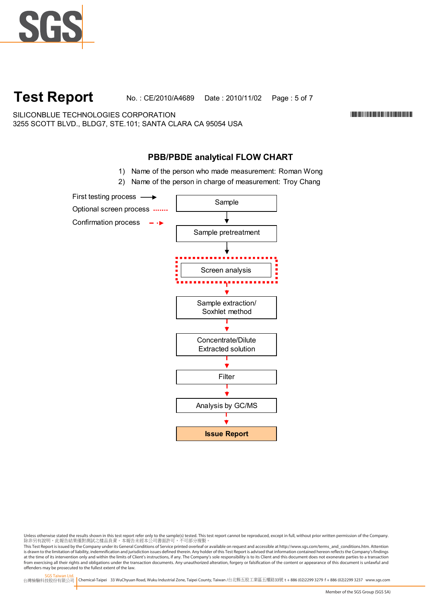

**Test Report** No. : CE/2010/A4689 Date : 2010/11/02 Page : 5 of 7

SILICONBLUE TECHNOLOGIES CORPORATION \*CE/2010/A4689\* 3255 SCOTT BLVD., BLDG7, STE.101; SANTA CLARA CA 95054 USA

# **PBB/PBDE analytical FLOW CHART**

- 1) Name of the person who made measurement: Roman Wong
- 2) Name of the person in charge of measurement: Troy Chang



Unless otherwise stated the results shown in this test report refer only to the sample(s) tested. This test report cannot be reproduced, except in full, without prior written permission of the Company.<br>除非另有說明,此報告結果僅對測試之樣品

This Test Report is issued by the Company under its General Conditions of Service printed overleaf or available on request and accessible at http://www.sgs.com/terms\_and\_conditions.htm. Attention is drawn to the limitation of liability, indemnification and jurisdiction issues defined therein. Any holder of this Test Report is advised that information contained hereon reflects the Company's findings<br>at the time of i from exercising all their rights and obligations under the transaction documents. Any unauthorized alteration, forgery or falsification of the content or appearance of this document is unlawful and offenders may be prosecuted to the fullest extent of the law.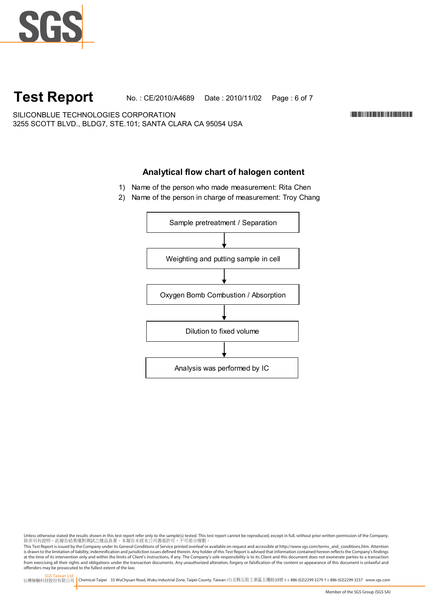

# **Test Report**

No. : CE/2010/A4689 Date : 2010/11/02 Page : 6 of 7

SILICONBLUE TECHNOLOGIES CORPORATION \*CE/2010/A4689\* 3255 SCOTT BLVD., BLDG7, STE.101; SANTA CLARA CA 95054 USA

## **Analytical flow chart of halogen content**

- 1) Name of the person who made measurement: Rita Chen
- 2) Name of the person in charge of measurement: Troy Chang



Unless otherwise stated the results shown in this test report refer only to the sample(s) tested. This test report cannot be reproduced, except in full, without prior written permission of the Company.<br>除非另有說明,此報告結果僅對測試之樣品

This Test Report is issued by the Company under its General Conditions of Service printed overleaf or available on request and accessible at http://www.sgs.com/terms\_and\_conditions.htm. Attention is drawn to the limitation of liability, indemnification and jurisdiction issues defined therein. Any holder of this Test Report is advised that information contained hereon reflects the Company's findings<br>at the time of i from exercising all their rights and obligations under the transaction documents. Any unauthorized alteration, forgery or falsification of the content or appearance of this document is unlawful and offenders may be prosecuted to the fullest extent of the law.